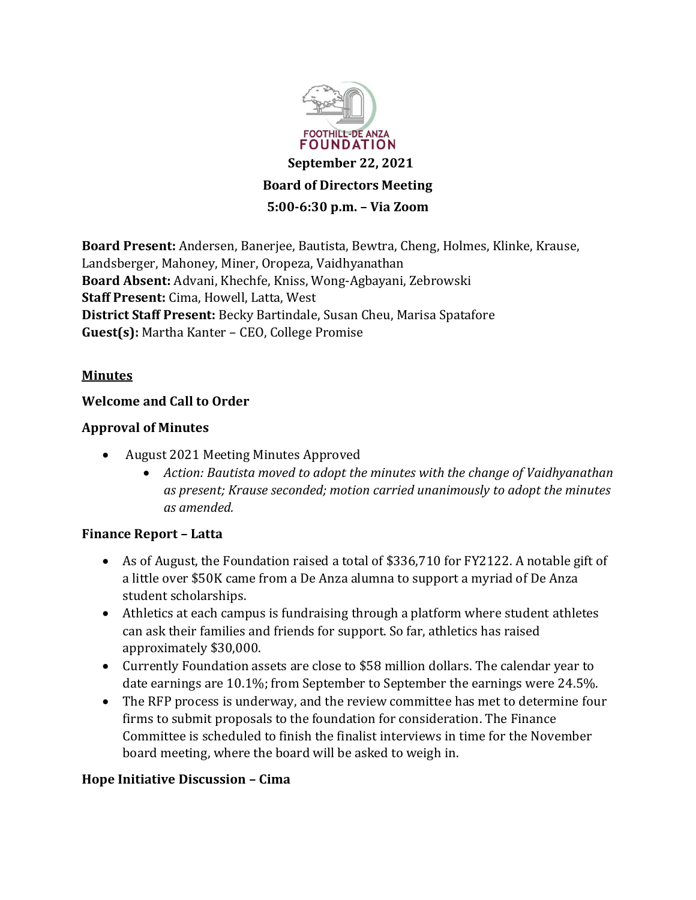

**Board Present:** Andersen, Banerjee, Bautista, Bewtra, Cheng, Holmes, Klinke, Krause, Landsberger, Mahoney, Miner, Oropeza, Vaidhyanathan **Board Absent:** Advani, Khechfe, Kniss, Wong-Agbayani, Zebrowski **Staff Present:** Cima, Howell, Latta, West **District Staff Present:** Becky Bartindale, Susan Cheu, Marisa Spatafore Guest(s): Martha Kanter - CEO, College Promise

### **Minutes**

### **Welcome and Call to Order**

#### **Approval of Minutes**

- August 2021 Meeting Minutes Approved
	- x *Action: Bautista moved to adopt the minutes with the change of Vaidhyanathan as present; Krause seconded; motion carried unanimously to adopt the minutes as amended.*

#### **Finance Report - Latta**

- As of August, the Foundation raised a total of \$336,710 for FY2122. A notable gift of a little over \$50K came from a De Anza alumna to support a myriad of De Anza student scholarships.
- Athletics at each campus is fundraising through a platform where student athletes can ask their families and friends for support. So far, athletics has raised approximately \$30,000.
- Currently Foundation assets are close to \$58 million dollars. The calendar year to date earnings are 10.1%; from September to September the earnings were 24.5%.
- The RFP process is underway, and the review committee has met to determine four firms to submit proposals to the foundation for consideration. The Finance Committee is scheduled to finish the finalist interviews in time for the November board meeting, where the board will be asked to weigh in.

#### **Hope Initiative Discussion - Cima**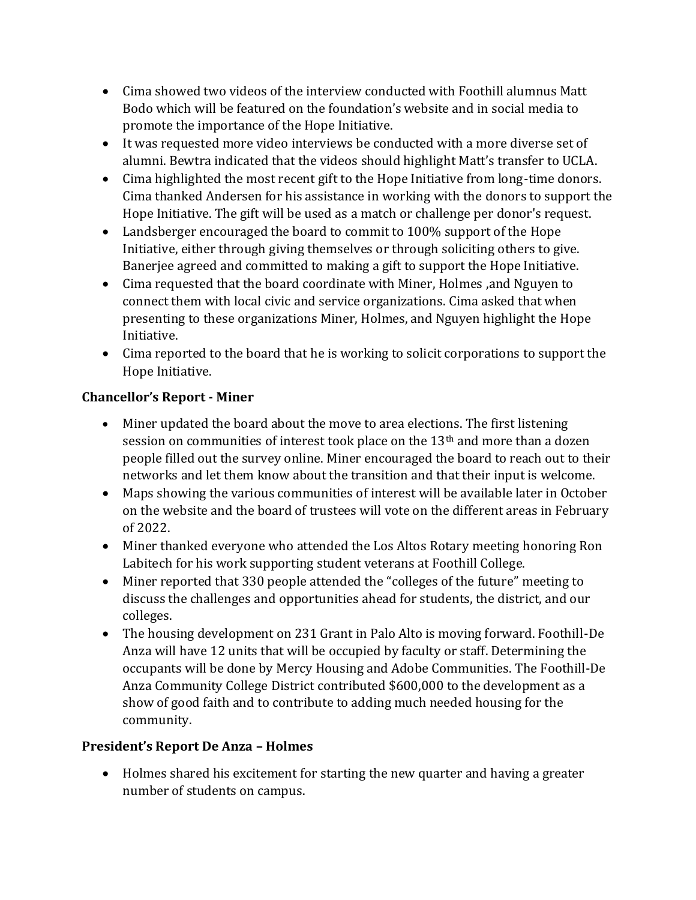- Cima showed two videos of the interview conducted with Foothill alumnus Matt Bodo which will be featured on the foundation's website and in social media to promote the importance of the Hope Initiative.
- It was requested more video interviews be conducted with a more diverse set of alumni. Bewtra indicated that the videos should highlight Matt's transfer to UCLA.
- Cima highlighted the most recent gift to the Hope Initiative from long-time donors. Cima thanked Andersen for his assistance in working with the donors to support the Hope Initiative. The gift will be used as a match or challenge per donor's request.
- Landsberger encouraged the board to commit to 100% support of the Hope Initiative, either through giving themselves or through soliciting others to give. Banerjee agreed and committed to making a gift to support the Hope Initiative.
- Cima requested that the board coordinate with Miner, Holmes ,and Nguyen to connect them with local civic and service organizations. Cima asked that when presenting to these organizations Miner, Holmes, and Nguyen highlight the Hope Initiative.
- Cima reported to the board that he is working to solicit corporations to support the Hope Initiative.

# **ǯ- Miner**

- Miner updated the board about the move to area elections. The first listening session on communities of interest took place on the 13th and more than a dozen people filled out the survey online. Miner encouraged the board to reach out to their networks and let them know about the transition and that their input is welcome.
- Maps showing the various communities of interest will be available later in October on the website and the board of trustees will vote on the different areas in February of 2022.
- Miner thanked everyone who attended the Los Altos Rotary meeting honoring Ron Labitech for his work supporting student veterans at Foothill College.
- Miner reported that 330 people attended the "colleges of the future" meeting to discuss the challenges and opportunities ahead for students, the district, and our colleges.
- The housing development on 231 Grant in Palo Alto is moving forward. Foothill-De Anza will have 12 units that will be occupied by faculty or staff. Determining the occupants will be done by Mercy Housing and Adobe Communities. The Foothill-De Anza Community College District contributed \$600,000 to the development as a show of good faith and to contribute to adding much needed housing for the community.

## **President's Report De Anza - Holmes**

• Holmes shared his excitement for starting the new quarter and having a greater number of students on campus.